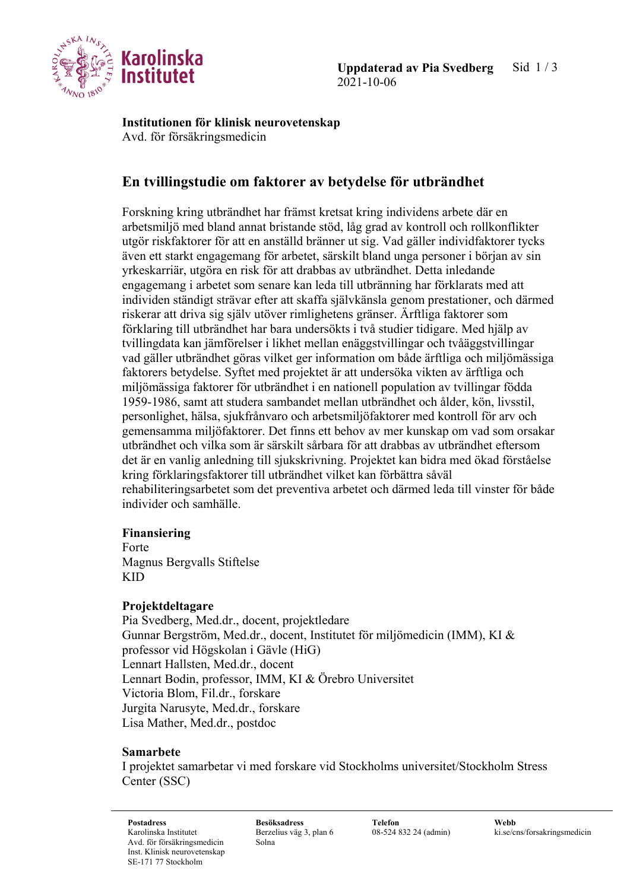

**Institutionen för klinisk neurovetenskap** Avd. för försäkringsmedicin

# **En tvillingstudie om faktorer av betydelse för utbrändhet**

Forskning kring utbrändhet har främst kretsat kring individens arbete där en arbetsmiljö med bland annat bristande stöd, låg grad av kontroll och rollkonflikter utgör riskfaktorer för att en anställd bränner ut sig. Vad gäller individfaktorer tycks även ett starkt engagemang för arbetet, särskilt bland unga personer i början av sin yrkeskarriär, utgöra en risk för att drabbas av utbrändhet. Detta inledande engagemang i arbetet som senare kan leda till utbränning har förklarats med att individen ständigt strävar efter att skaffa självkänsla genom prestationer, och därmed riskerar att driva sig själv utöver rimlighetens gränser. Ärftliga faktorer som förklaring till utbrändhet har bara undersökts i två studier tidigare. Med hjälp av tvillingdata kan jämförelser i likhet mellan enäggstvillingar och tvåäggstvillingar vad gäller utbrändhet göras vilket ger information om både ärftliga och miljömässiga faktorers betydelse. Syftet med projektet är att undersöka vikten av ärftliga och miljömässiga faktorer för utbrändhet i en nationell population av tvillingar födda 1959-1986, samt att studera sambandet mellan utbrändhet och ålder, kön, livsstil, personlighet, hälsa, sjukfrånvaro och arbetsmiljöfaktorer med kontroll för arv och gemensamma miljöfaktorer. Det finns ett behov av mer kunskap om vad som orsakar utbrändhet och vilka som är särskilt sårbara för att drabbas av utbrändhet eftersom det är en vanlig anledning till sjukskrivning. Projektet kan bidra med ökad förståelse kring förklaringsfaktorer till utbrändhet vilket kan förbättra såväl rehabiliteringsarbetet som det preventiva arbetet och därmed leda till vinster för både individer och samhälle.

#### **Finansiering**

Forte Magnus Bergvalls Stiftelse KID

#### **Projektdeltagare**

Pia Svedberg, Med.dr., docent, projektledare Gunnar Bergström, Med.dr., docent, Institutet för miljömedicin (IMM), KI & professor vid Högskolan i Gävle (HiG) Lennart Hallsten, Med.dr., docent Lennart Bodin, professor, IMM, KI & Örebro Universitet Victoria Blom, Fil.dr., forskare Jurgita Narusyte, Med.dr., forskare Lisa Mather, Med.dr., postdoc

## **Samarbete**

I projektet samarbetar vi med forskare vid Stockholms universitet/Stockholm Stress Center (SSC)

**Postadress Besöksadress Telefon Webb** Karolinska Institutet Avd. för försäkringsmedicin Inst. Klinisk neurovetenskap SE-171 77 Stockholm

Berzelius väg 3, plan 6 Solna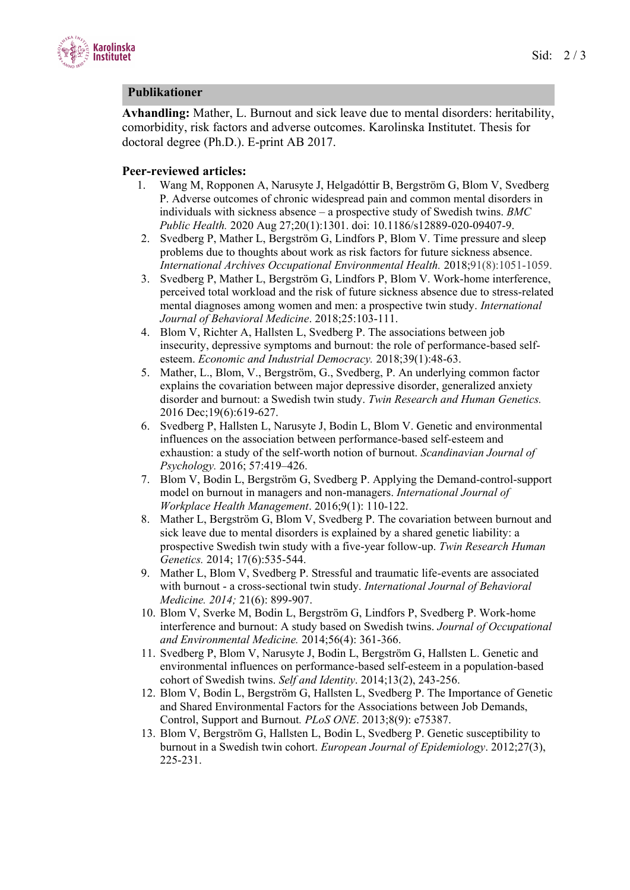

### **Publikationer**

**Avhandling:** Mather, L. Burnout and sick leave due to mental disorders: heritability, comorbidity, risk factors and adverse outcomes. Karolinska Institutet. Thesis for doctoral degree (Ph.D.). E-print AB 2017.

### **Peer-reviewed articles:**

- 1. Wang M, Ropponen A, Narusyte J, Helgadóttir B, Bergström G, Blom V, Svedberg P. Adverse outcomes of chronic widespread pain and common mental disorders in individuals with sickness absence – a prospective study of Swedish twins. *BMC Public Health.* 2020 Aug 27;20(1):1301. doi: 10.1186/s12889-020-09407-9.
- 2. Svedberg P, Mather L, Bergström G, Lindfors P, Blom V. Time pressure and sleep problems due to thoughts about work as risk factors for future sickness absence. *International Archives Occupational Environmental Health.* 2018;91(8):1051-1059.
- 3. Svedberg P, Mather L, Bergström G, Lindfors P, Blom V. Work-home interference, perceived total workload and the risk of future sickness absence due to stress-related mental diagnoses among women and men: a prospective twin study. *International Journal of Behavioral Medicine*. 2018;25:103-111.
- 4. Blom V, Richter A, Hallsten L, Svedberg P. The associations between job insecurity, depressive symptoms and burnout: the role of performance-based selfesteem. *Economic and Industrial Democracy.* 2018;39(1):48-63.
- 5. Mather, L., Blom, V., Bergström, G., Svedberg, P. An underlying common factor explains the covariation between major depressive disorder, generalized anxiety disorder and burnout: a Swedish twin study. *Twin Research and Human Genetics.* 2016 Dec;19(6):619-627.
- 6. Svedberg P, Hallsten L, Narusyte J, Bodin L, Blom V. Genetic and environmental influences on the association between performance-based self-esteem and exhaustion: a study of the self-worth notion of burnout. *Scandinavian Journal of Psychology.* 2016; 57:419–426.
- 7. Blom V, Bodin L, Bergström G, Svedberg P. Applying the Demand-control-support model on burnout in managers and non-managers. *International Journal of Workplace Health Management*. 2016;9(1): 110-122.
- 8. Mather L, Bergström G, Blom V, Svedberg P. The covariation between burnout and sick leave due to mental disorders is explained by a shared genetic liability: a prospective Swedish twin study with a five-year follow-up. *Twin Research Human Genetics.* 2014; 17(6):535-544.
- 9. Mather L, Blom V, Svedberg P. Stressful and traumatic life-events are associated with burnout - a cross-sectional twin study. *International Journal of Behavioral Medicine. 2014;* 21(6): 899-907.
- 10. Blom V, Sverke M, Bodin L, Bergström G, Lindfors P, Svedberg P. Work-home interference and burnout: A study based on Swedish twins. *Journal of Occupational and Environmental Medicine.* 2014;56(4): 361-366.
- 11. Svedberg P, Blom V, Narusyte J, Bodin L, Bergström G, Hallsten L. Genetic and environmental influences on performance-based self-esteem in a population-based cohort of Swedish twins. *Self and Identity*. 2014;13(2), 243-256.
- 12. Blom V, Bodin L, Bergström G, Hallsten L, Svedberg P. The Importance of Genetic and Shared Environmental Factors for the Associations between Job Demands, Control, Support and Burnout*. PLoS ONE*. 2013;8(9): e75387.
- 13. Blom V, Bergström G, Hallsten L, Bodin L, Svedberg P. Genetic susceptibility to burnout in a Swedish twin cohort. *European Journal of Epidemiology*. 2012;27(3), 225-231.